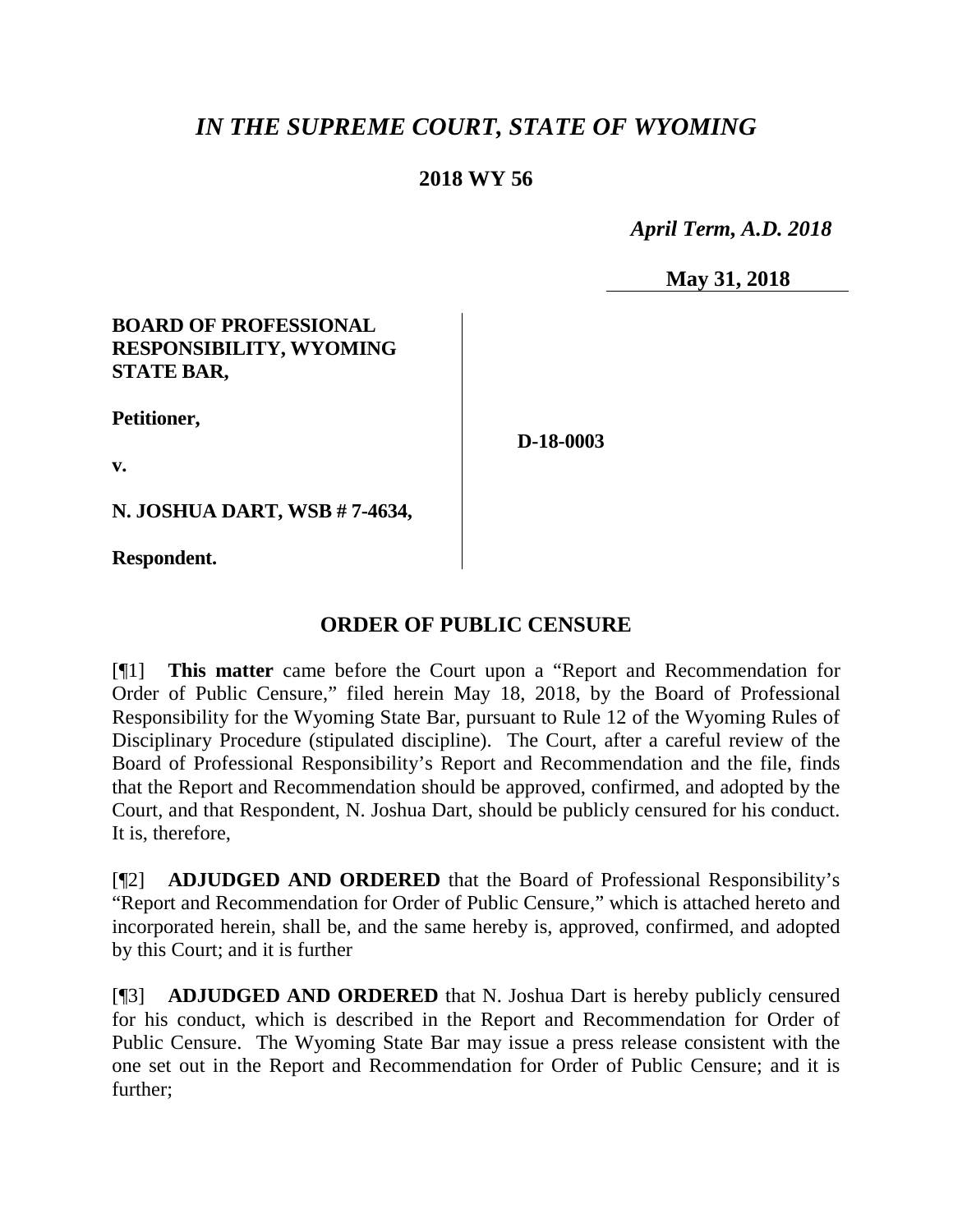# *IN THE SUPREME COURT, STATE OF WYOMING*

## **2018 WY 56**

 *April Term, A.D. 2018*

**May 31, 2018**

### **BOARD OF PROFESSIONAL RESPONSIBILITY, WYOMING STATE BAR,**

**Petitioner,**

**D-18-0003**

**v.**

**N. JOSHUA DART, WSB # 7-4634,**

**Respondent.**

# **ORDER OF PUBLIC CENSURE**

[¶1] **This matter** came before the Court upon a "Report and Recommendation for Order of Public Censure," filed herein May 18, 2018, by the Board of Professional Responsibility for the Wyoming State Bar, pursuant to Rule 12 of the Wyoming Rules of Disciplinary Procedure (stipulated discipline). The Court, after a careful review of the Board of Professional Responsibility's Report and Recommendation and the file, finds that the Report and Recommendation should be approved, confirmed, and adopted by the Court, and that Respondent, N. Joshua Dart, should be publicly censured for his conduct. It is, therefore,

[¶2] **ADJUDGED AND ORDERED** that the Board of Professional Responsibility's "Report and Recommendation for Order of Public Censure," which is attached hereto and incorporated herein, shall be, and the same hereby is, approved, confirmed, and adopted by this Court; and it is further

[¶3] **ADJUDGED AND ORDERED** that N. Joshua Dart is hereby publicly censured for his conduct, which is described in the Report and Recommendation for Order of Public Censure. The Wyoming State Bar may issue a press release consistent with the one set out in the Report and Recommendation for Order of Public Censure; and it is further;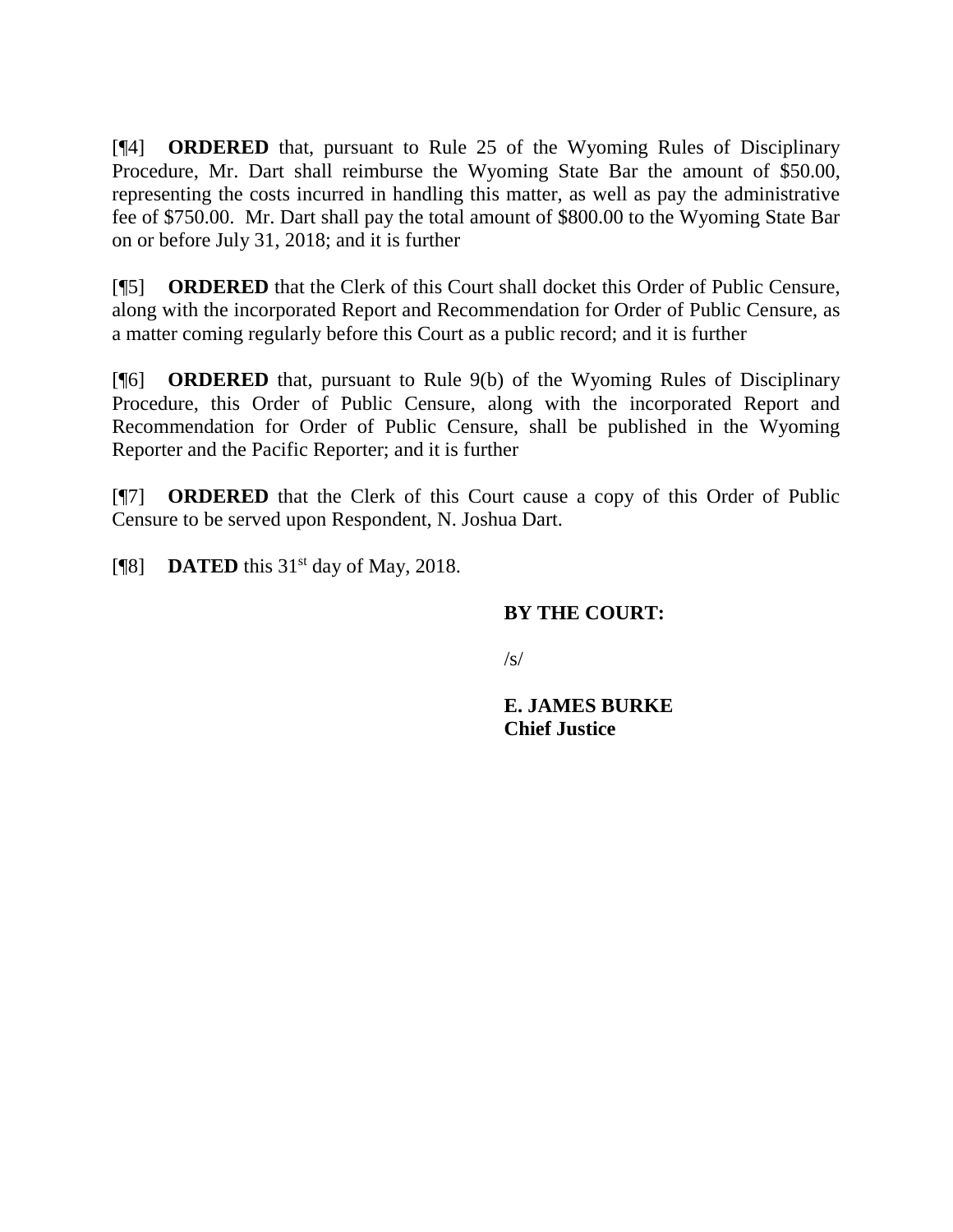[¶4] **ORDERED** that, pursuant to Rule 25 of the Wyoming Rules of Disciplinary Procedure, Mr. Dart shall reimburse the Wyoming State Bar the amount of \$50.00, representing the costs incurred in handling this matter, as well as pay the administrative fee of \$750.00. Mr. Dart shall pay the total amount of \$800.00 to the Wyoming State Bar on or before July 31, 2018; and it is further

[¶5] **ORDERED** that the Clerk of this Court shall docket this Order of Public Censure, along with the incorporated Report and Recommendation for Order of Public Censure, as a matter coming regularly before this Court as a public record; and it is further

[¶6] **ORDERED** that, pursuant to Rule 9(b) of the Wyoming Rules of Disciplinary Procedure, this Order of Public Censure, along with the incorporated Report and Recommendation for Order of Public Censure, shall be published in the Wyoming Reporter and the Pacific Reporter; and it is further

[¶7] **ORDERED** that the Clerk of this Court cause a copy of this Order of Public Censure to be served upon Respondent, N. Joshua Dart.

[ $[$ 8] **DATED** this 31<sup>st</sup> day of May, 2018.

### **BY THE COURT:**

 $\sqrt{s}$ 

**E. JAMES BURKE Chief Justice**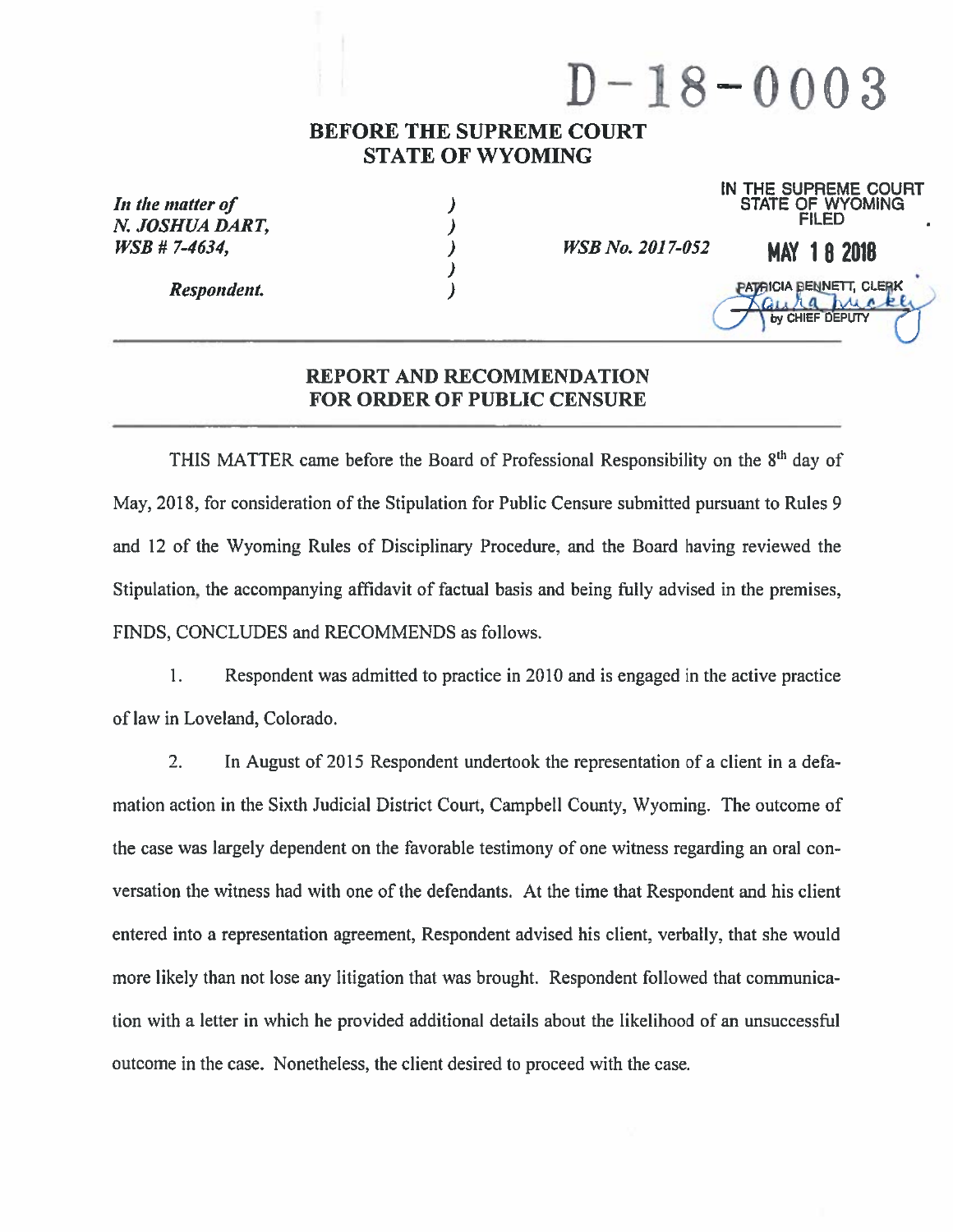# $D-18-0003$

### **BEFORE THE SUPREME COURT STATE OF WYOMING**

| In the matter of<br>N. JOSHUA DART. |                         | IN<br>THE SUPHEME COURT<br><b>STATE OF WYOMING</b><br><b>FILED</b> |
|-------------------------------------|-------------------------|--------------------------------------------------------------------|
| $WSB$ # 7-4634,                     | <b>WSB No. 2017-052</b> | <b>MAY 18 2018</b>                                                 |
| Respondent.                         |                         | PATAICIA BENNETT, CLERK<br><b>IN CHIEF DEPLITY</b>                 |

### REPORT AND RECOMMENDATION **FOR ORDER OF PUBLIC CENSURE**

THIS MATTER came before the Board of Professional Responsibility on the 8<sup>th</sup> day of May, 2018, for consideration of the Stipulation for Public Censure submitted pursuant to Rules 9 and 12 of the Wyoming Rules of Disciplinary Procedure, and the Board having reviewed the Stipulation, the accompanying affidavit of factual basis and being fully advised in the premises, FINDS, CONCLUDES and RECOMMENDS as follows.

 $1.$ Respondent was admitted to practice in 2010 and is engaged in the active practice of law in Loveland, Colorado.

 $2.$ In August of 2015 Respondent undertook the representation of a client in a defamation action in the Sixth Judicial District Court, Campbell County, Wyoming. The outcome of the case was largely dependent on the favorable testimony of one witness regarding an oral conversation the witness had with one of the defendants. At the time that Respondent and his client entered into a representation agreement, Respondent advised his client, verbally, that she would more likely than not lose any litigation that was brought. Respondent followed that communication with a letter in which he provided additional details about the likelihood of an unsuccessful outcome in the case. Nonetheless, the client desired to proceed with the case.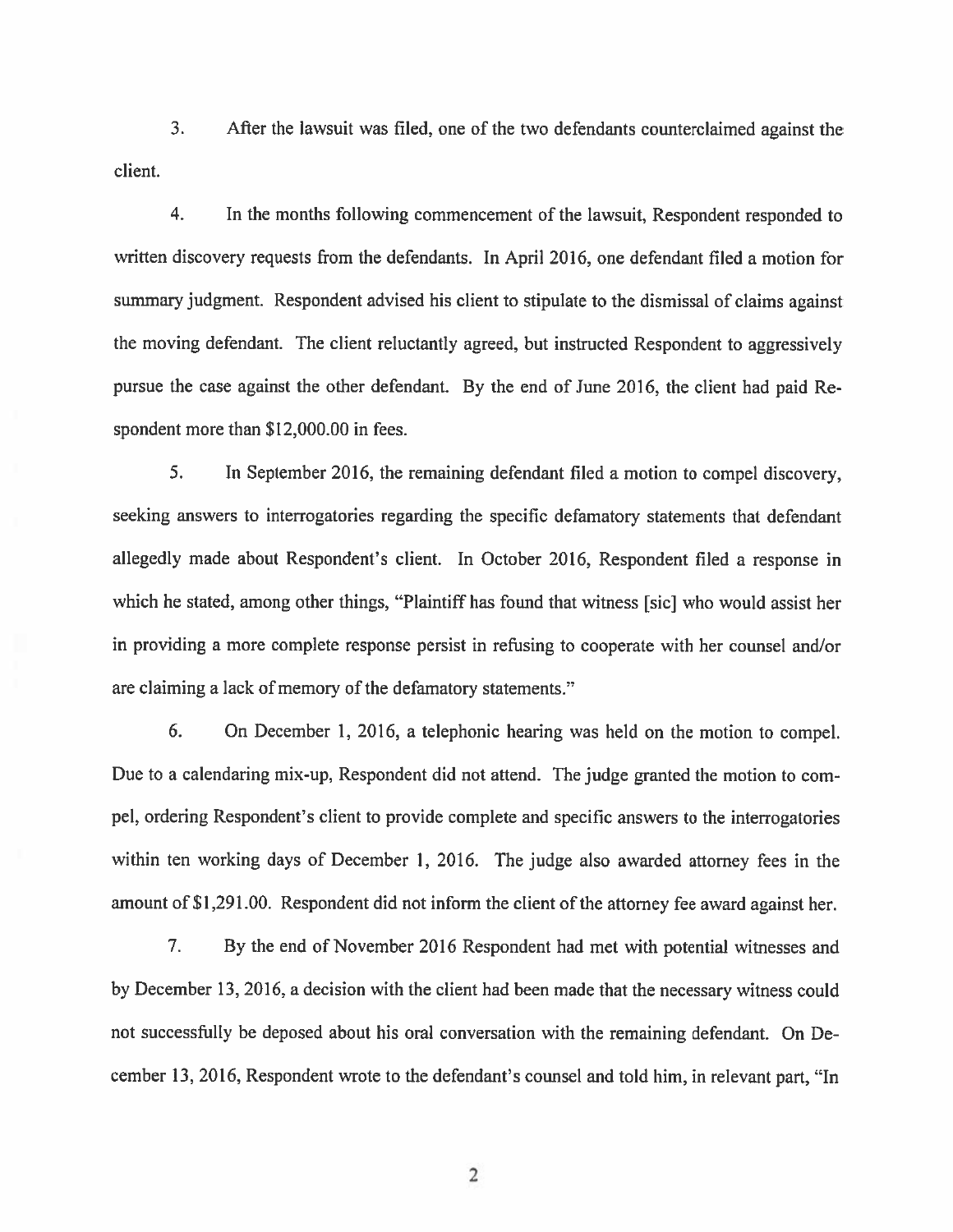$3<sub>1</sub>$ After the lawsuit was filed, one of the two defendants counterclaimed against the client.

 $\overline{4}$ . In the months following commencement of the lawsuit, Respondent responded to written discovery requests from the defendants. In April 2016, one defendant filed a motion for summary judgment. Respondent advised his client to stipulate to the dismissal of claims against the moving defendant. The client reluctantly agreed, but instructed Respondent to aggressively pursue the case against the other defendant. By the end of June 2016, the client had paid Respondent more than \$12,000.00 in fees.

5. In September 2016, the remaining defendant filed a motion to compel discovery, seeking answers to interrogatories regarding the specific defamatory statements that defendant allegedly made about Respondent's client. In October 2016, Respondent filed a response in which he stated, among other things, "Plaintiff has found that witness [sic] who would assist her in providing a more complete response persist in refusing to cooperate with her counsel and/or are claiming a lack of memory of the defamatory statements."

6. On December 1, 2016, a telephonic hearing was held on the motion to compel. Due to a calendaring mix-up, Respondent did not attend. The judge granted the motion to compel, ordering Respondent's client to provide complete and specific answers to the interrogatories within ten working days of December 1, 2016. The judge also awarded attorney fees in the amount of \$1,291.00. Respondent did not inform the client of the attorney fee award against her.

By the end of November 2016 Respondent had met with potential witnesses and 7. by December 13, 2016, a decision with the client had been made that the necessary witness could not successfully be deposed about his oral conversation with the remaining defendant. On December 13, 2016, Respondent wrote to the defendant's counsel and told him, in relevant part, "In

 $\overline{2}$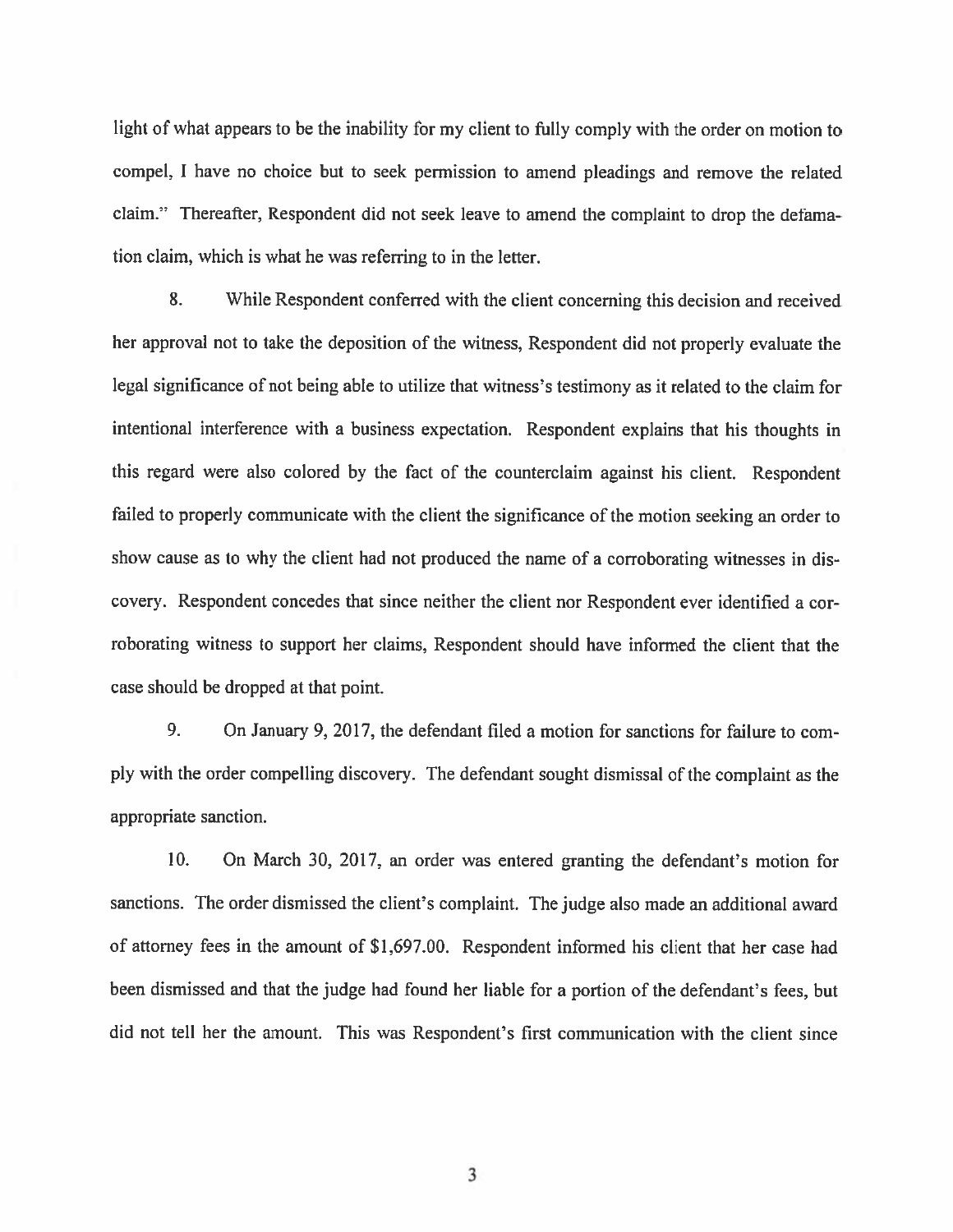light of what appears to be the inability for my client to fully comply with the order on motion to compel, I have no choice but to seek permission to amend pleadings and remove the related claim." Thereafter, Respondent did not seek leave to amend the complaint to drop the defamation claim, which is what he was referring to in the letter.

8. While Respondent conferred with the client concerning this decision and received her approval not to take the deposition of the witness, Respondent did not properly evaluate the legal significance of not being able to utilize that witness's testimony as it related to the claim for intentional interference with a business expectation. Respondent explains that his thoughts in this regard were also colored by the fact of the counterclaim against his client. Respondent failed to properly communicate with the client the significance of the motion seeking an order to show cause as to why the client had not produced the name of a corroborating witnesses in discovery. Respondent concedes that since neither the client nor Respondent ever identified a corroborating witness to support her claims, Respondent should have informed the client that the case should be dropped at that point.

9. On January 9, 2017, the defendant filed a motion for sanctions for failure to comply with the order compelling discovery. The defendant sought dismissal of the complaint as the appropriate sanction.

10. On March 30, 2017, an order was entered granting the defendant's motion for sanctions. The order dismissed the client's complaint. The judge also made an additional award of attorney fees in the amount of \$1,697.00. Respondent informed his client that her case had been dismissed and that the judge had found her liable for a portion of the defendant's fees, but did not tell her the amount. This was Respondent's first communication with the client since

3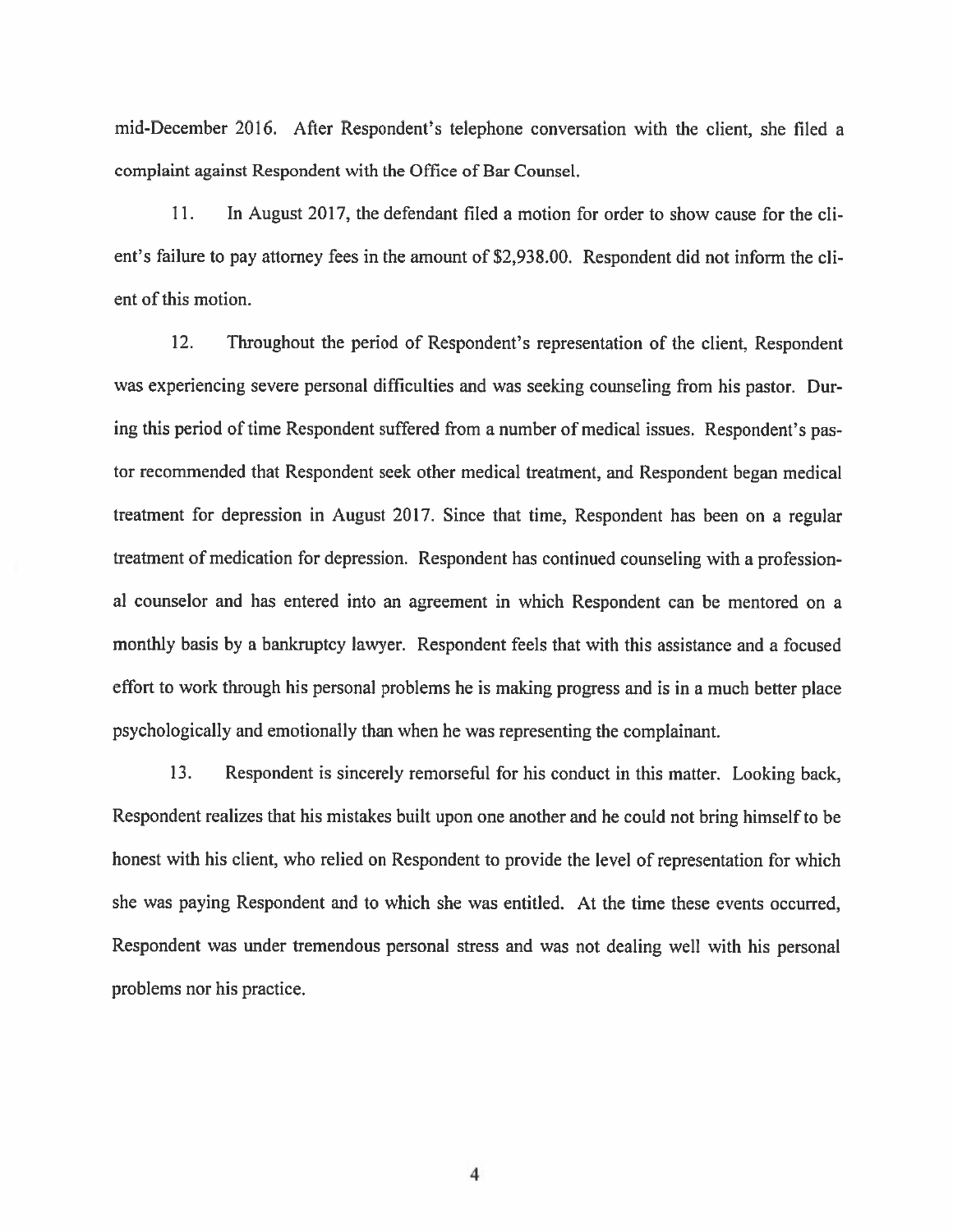mid-December 2016. After Respondent's telephone conversation with the client, she filed a complaint against Respondent with the Office of Bar Counsel.

11. In August 2017, the defendant filed a motion for order to show cause for the client's failure to pay attorney fees in the amount of \$2,938.00. Respondent did not inform the client of this motion.

12. Throughout the period of Respondent's representation of the client, Respondent was experiencing severe personal difficulties and was seeking counseling from his pastor. During this period of time Respondent suffered from a number of medical issues. Respondent's pastor recommended that Respondent seek other medical treatment, and Respondent began medical treatment for depression in August 2017. Since that time, Respondent has been on a regular treatment of medication for depression. Respondent has continued counseling with a professional counselor and has entered into an agreement in which Respondent can be mentored on a monthly basis by a bankruptcy lawyer. Respondent feels that with this assistance and a focused effort to work through his personal problems he is making progress and is in a much better place psychologically and emotionally than when he was representing the complainant.

13. Respondent is sincerely remorseful for his conduct in this matter. Looking back, Respondent realizes that his mistakes built upon one another and he could not bring himself to be honest with his client, who relied on Respondent to provide the level of representation for which she was paying Respondent and to which she was entitled. At the time these events occurred, Respondent was under tremendous personal stress and was not dealing well with his personal problems nor his practice.

 $\overline{\mathbf{4}}$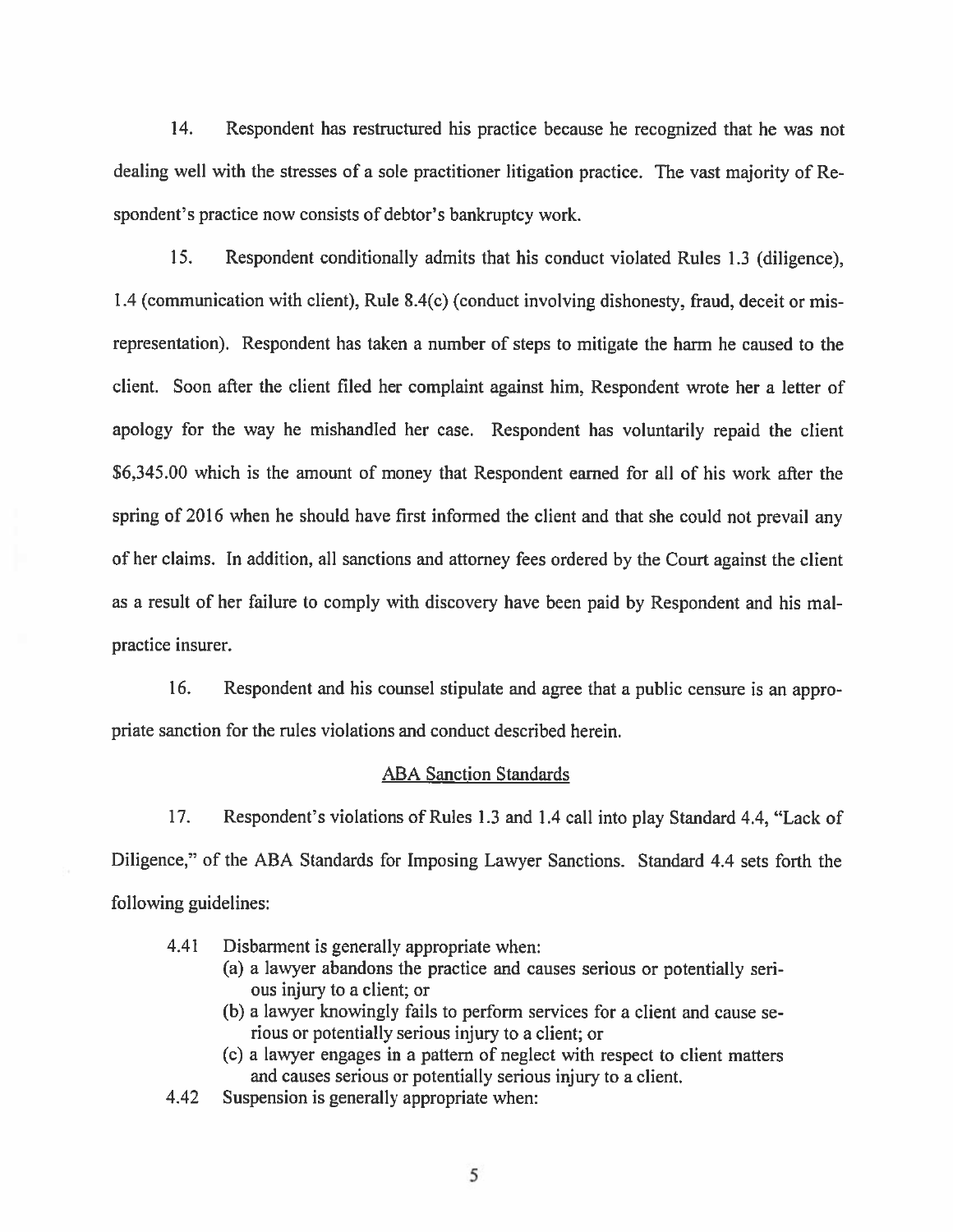14. Respondent has restructured his practice because he recognized that he was not dealing well with the stresses of a sole practitioner litigation practice. The vast majority of Respondent's practice now consists of debtor's bankruptcy work.

15. Respondent conditionally admits that his conduct violated Rules 1.3 (diligence). 1.4 (communication with client), Rule 8.4(c) (conduct involving dishonesty, fraud, deceit or misrepresentation). Respondent has taken a number of steps to mitigate the harm he caused to the client. Soon after the client filed her complaint against him, Respondent wrote her a letter of apology for the way he mishandled her case. Respondent has voluntarily repaid the client \$6,345.00 which is the amount of money that Respondent earned for all of his work after the spring of 2016 when he should have first informed the client and that she could not prevail any of her claims. In addition, all sanctions and attorney fees ordered by the Court against the client as a result of her failure to comply with discovery have been paid by Respondent and his malpractice insurer.

16. Respondent and his counsel stipulate and agree that a public censure is an appropriate sanction for the rules violations and conduct described herein.

### **ABA Sanction Standards**

17. Respondent's violations of Rules 1.3 and 1.4 call into play Standard 4.4, "Lack of Diligence," of the ABA Standards for Imposing Lawyer Sanctions. Standard 4.4 sets forth the following guidelines:

- 4.41 Disbarment is generally appropriate when:
	- (a) a lawyer abandons the practice and causes serious or potentially serious injury to a client; or
	- (b) a lawyer knowingly fails to perform services for a client and cause serious or potentially serious injury to a client; or
	- (c) a lawyer engages in a pattern of neglect with respect to client matters and causes serious or potentially serious injury to a client.
- 4.42 Suspension is generally appropriate when: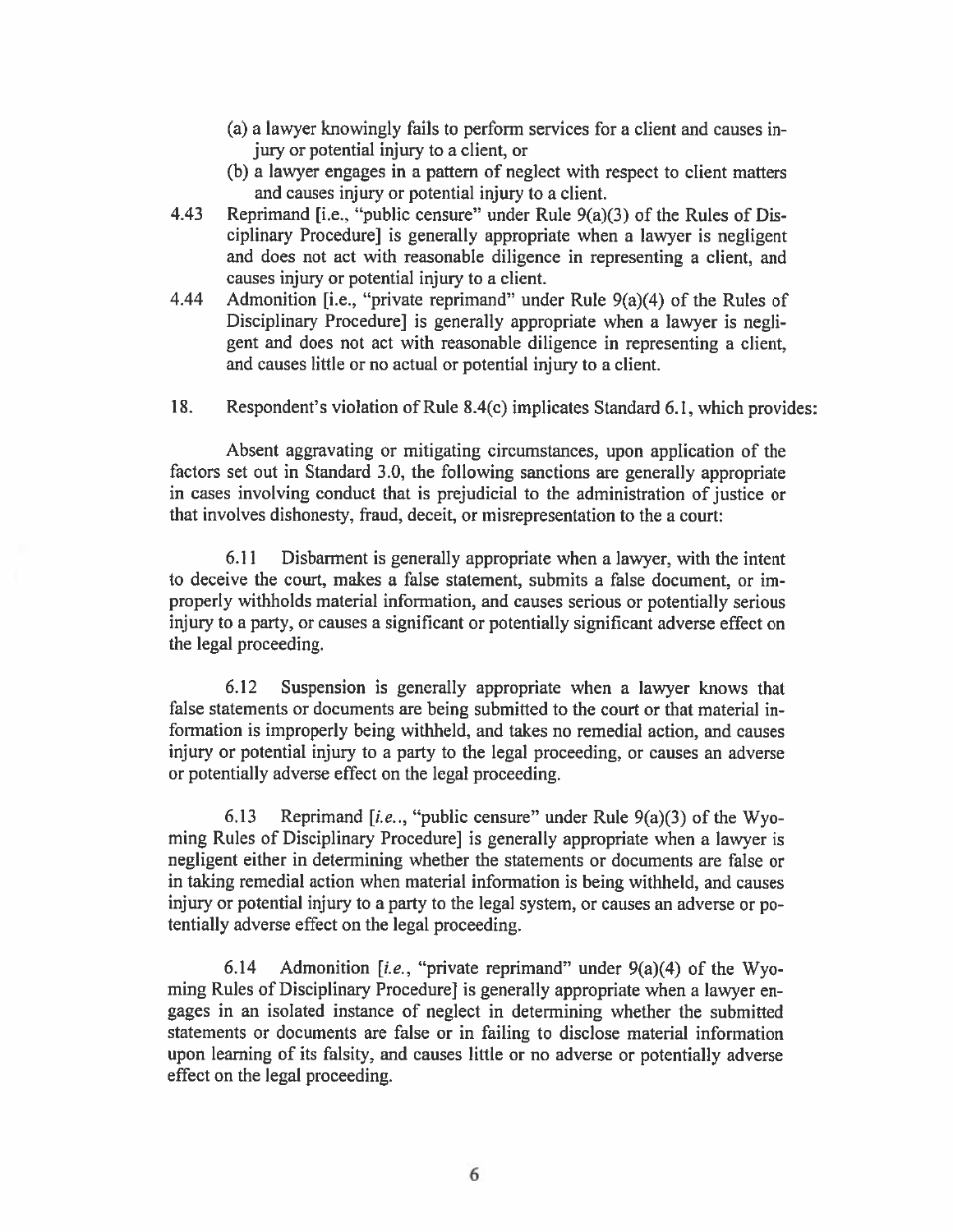- (a) a lawyer knowingly fails to perform services for a client and causes injury or potential injury to a client, or
- (b) a lawyer engages in a pattern of neglect with respect to client matters and causes injury or potential injury to a client.
- 4.43 Reprimand [i.e., "public censure" under Rule  $9(a)(3)$  of the Rules of Disciplinary Procedure] is generally appropriate when a lawyer is negligent and does not act with reasonable diligence in representing a client, and causes injury or potential injury to a client.
- Admonition [i.e., "private reprimand" under Rule 9(a)(4) of the Rules of 4.44 Disciplinary Procedure] is generally appropriate when a lawyer is negligent and does not act with reasonable diligence in representing a client. and causes little or no actual or potential injury to a client.
- 18. Respondent's violation of Rule 8.4(c) implicates Standard 6.1, which provides:

Absent aggravating or mitigating circumstances, upon application of the factors set out in Standard 3.0, the following sanctions are generally appropriate in cases involving conduct that is prejudicial to the administration of justice or that involves dishonesty, fraud, deceit, or misrepresentation to the a court:

Disbarment is generally appropriate when a lawyer, with the intent 6.11 to deceive the court, makes a false statement, submits a false document, or improperly withholds material information, and causes serious or potentially serious injury to a party, or causes a significant or potentially significant adverse effect on the legal proceeding.

 $6.12$ Suspension is generally appropriate when a lawyer knows that false statements or documents are being submitted to the court or that material information is improperly being withheld, and takes no remedial action, and causes injury or potential injury to a party to the legal proceeding, or causes an adverse or potentially adverse effect on the legal proceeding.

Reprimand [i.e., "public censure" under Rule  $9(a)(3)$  of the Wyo-6.13 ming Rules of Disciplinary Procedure] is generally appropriate when a lawyer is negligent either in determining whether the statements or documents are false or in taking remedial action when material information is being withheld, and causes injury or potential injury to a party to the legal system, or causes an adverse or potentially adverse effect on the legal proceeding.

6.14 Admonition [i.e., "private reprimand" under  $9(a)(4)$  of the Wyoming Rules of Disciplinary Procedure] is generally appropriate when a lawyer engages in an isolated instance of neglect in determining whether the submitted statements or documents are false or in failing to disclose material information upon learning of its falsity, and causes little or no adverse or potentially adverse effect on the legal proceeding.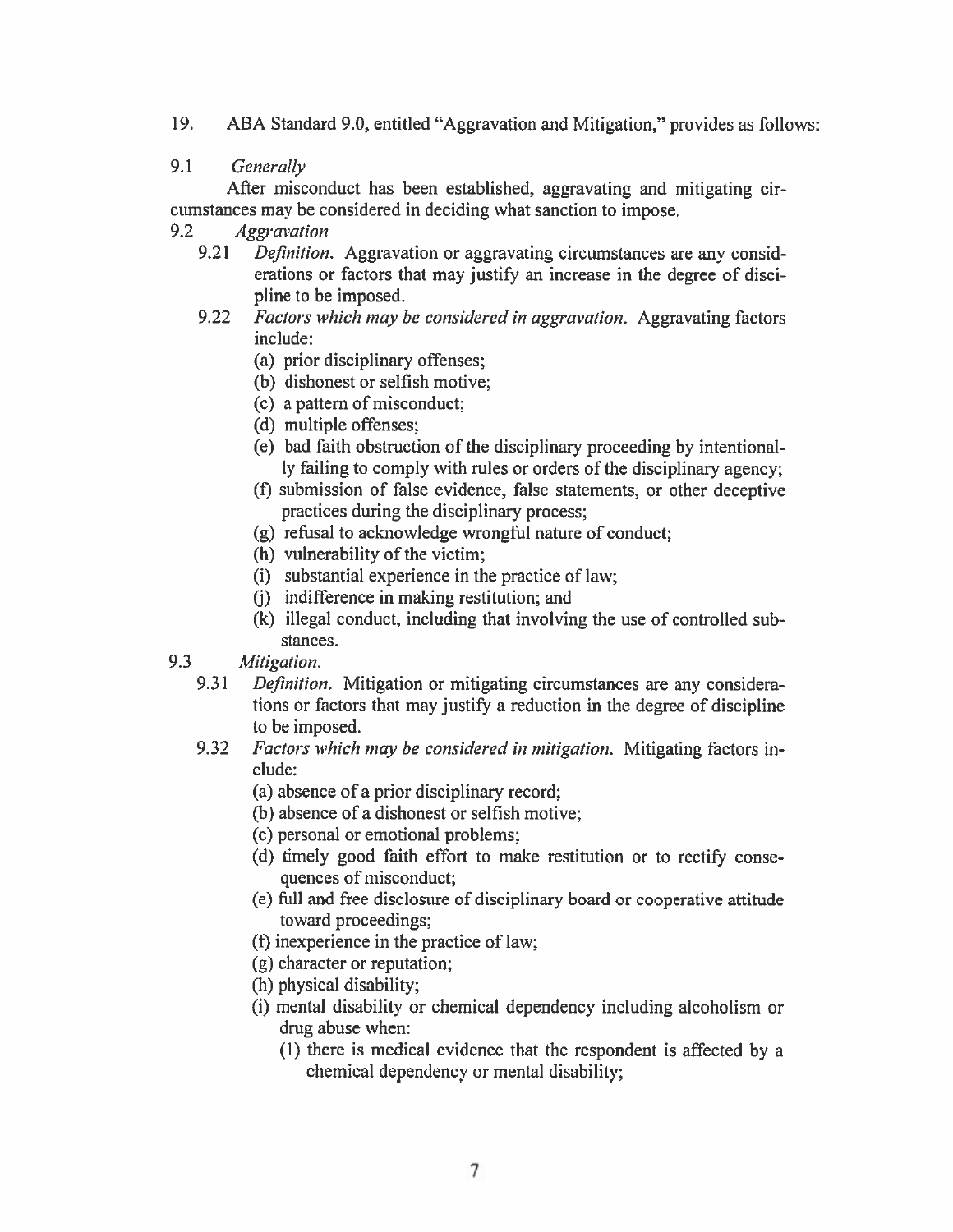$19.$ ABA Standard 9.0, entitled "Aggravation and Mitigation," provides as follows:

#### $9.1$ Generally

After misconduct has been established, aggravating and mitigating circumstances may be considered in deciding what sanction to impose.

- 9.2 **Aggravation** 
	- 9.21 *Definition.* Aggravation or aggravating circumstances are any considerations or factors that may justify an increase in the degree of discipline to be imposed.
	- $9.22$ Factors which may be considered in aggravation. Aggravating factors include:
		- (a) prior disciplinary offenses;
		- (b) dishonest or selfish motive;
		- (c) a pattern of misconduct;
		- (d) multiple offenses;
		- (e) bad faith obstruction of the disciplinary proceeding by intentionally failing to comply with rules or orders of the disciplinary agency;
		- (f) submission of false evidence, false statements, or other deceptive practices during the disciplinary process;
		- (g) refusal to acknowledge wrongful nature of conduct;
		- (h) vulnerability of the victim;
		- (i) substantial experience in the practice of law;
		- (j) indifference in making restitution; and
		- (k) illegal conduct, including that involving the use of controlled substances.
- 9.3 Mitigation.
	- 9.31 Definition. Mitigation or mitigating circumstances are any considerations or factors that may justify a reduction in the degree of discipline to be imposed.
	- 9.32 Factors which may be considered in mitigation. Mitigating factors include:

(a) absence of a prior disciplinary record;

- (b) absence of a dishonest or selfish motive;
- (c) personal or emotional problems;
- (d) timely good faith effort to make restitution or to rectify consequences of misconduct;
- (e) full and free disclosure of disciplinary board or cooperative attitude toward proceedings;
- (f) in experience in the practice of law;
- (g) character or reputation;
- (h) physical disability;
- (i) mental disability or chemical dependency including alcoholism or drug abuse when:
	- (1) there is medical evidence that the respondent is affected by a chemical dependency or mental disability;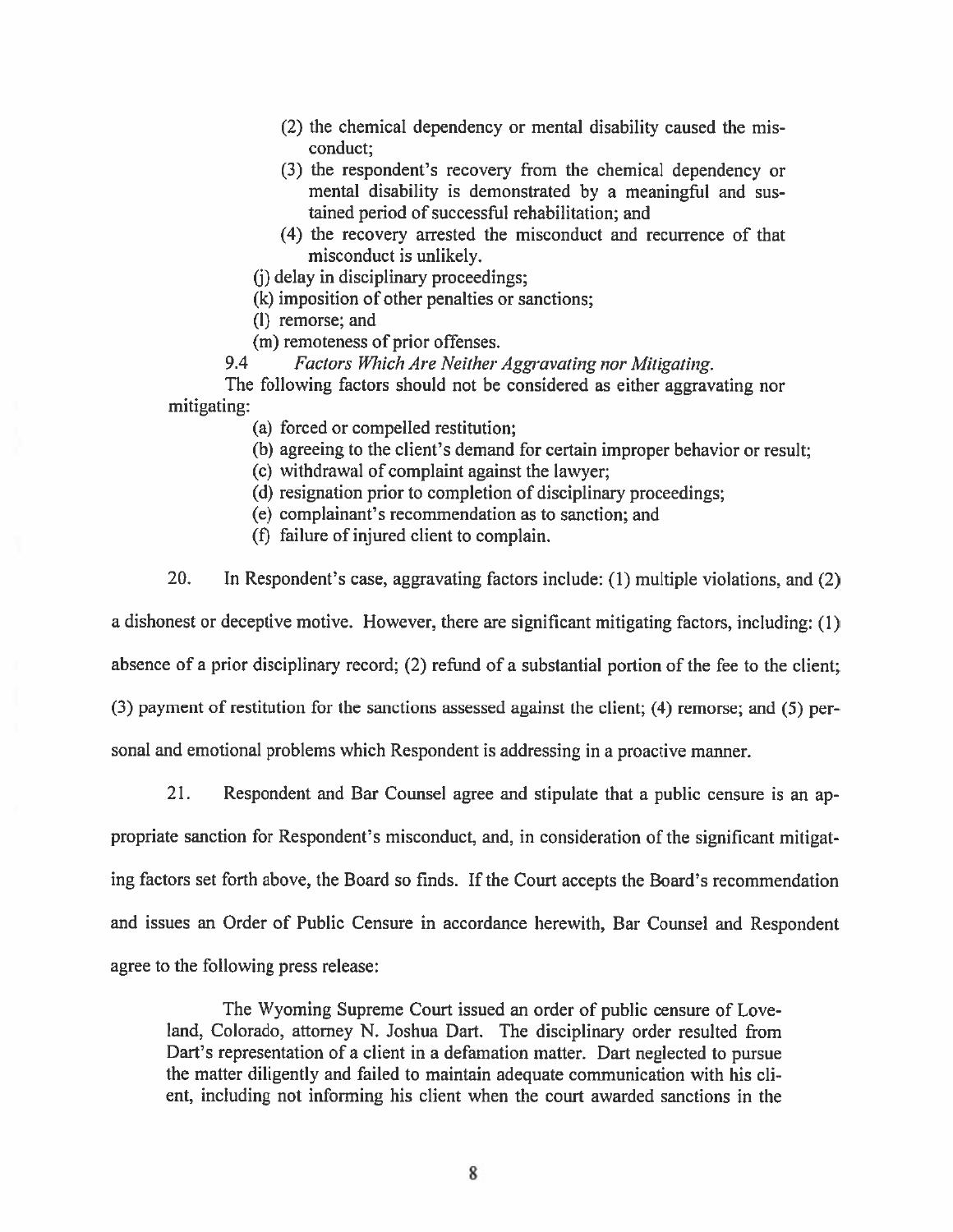- (2) the chemical dependency or mental disability caused the misconduct:
- (3) the respondent's recovery from the chemical dependency or mental disability is demonstrated by a meaningful and sustained period of successful rehabilitation; and
- (4) the recovery arrested the misconduct and recurrence of that misconduct is unlikely.
- (i) delay in disciplinary proceedings;
- (k) imposition of other penalties or sanctions;
- (l) remorse; and
- (m) remoteness of prior offenses.

9.4 Factors Which Are Neither Aggravating nor Mitigating.

The following factors should not be considered as either aggravating nor mitigating:

- (a) forced or compelled restitution;
- (b) agreeing to the client's demand for certain improper behavior or result;
- (c) withdrawal of complaint against the lawyer;
- (d) resignation prior to completion of disciplinary proceedings;
- (e) complainant's recommendation as to sanction; and
- (f) failure of injured client to complain.
- 20. In Respondent's case, aggravating factors include: (1) multiple violations, and (2)

a dishonest or deceptive motive. However, there are significant mitigating factors, including: (1)

absence of a prior disciplinary record; (2) refund of a substantial portion of the fee to the client;

(3) payment of restitution for the sanctions assessed against the client; (4) remorse; and (5) per-

sonal and emotional problems which Respondent is addressing in a proactive manner.

 $21.$ Respondent and Bar Counsel agree and stipulate that a public censure is an appropriate sanction for Respondent's misconduct, and, in consideration of the significant mitigating factors set forth above, the Board so finds. If the Court accepts the Board's recommendation and issues an Order of Public Censure in accordance herewith, Bar Counsel and Respondent agree to the following press release:

The Wyoming Supreme Court issued an order of public censure of Loveland, Colorado, attorney N. Joshua Dart. The disciplinary order resulted from Dart's representation of a client in a defamation matter. Dart neglected to pursue the matter diligently and failed to maintain adequate communication with his client, including not informing his client when the court awarded sanctions in the